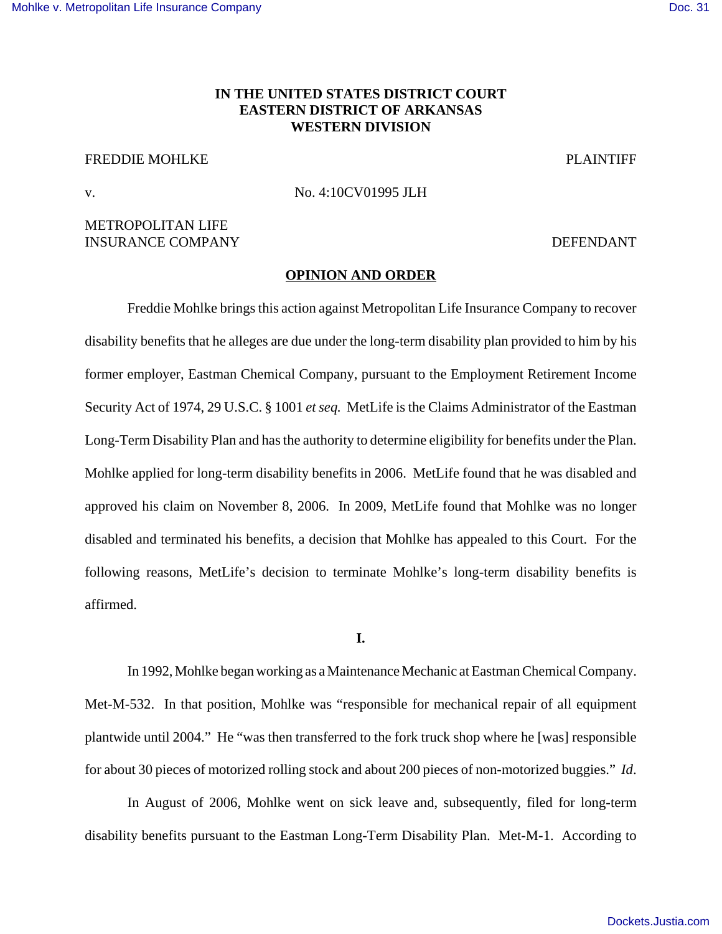### **IN THE UNITED STATES DISTRICT COURT EASTERN DISTRICT OF ARKANSAS WESTERN DIVISION**

### FREDDIE MOHLKE PLAINTIFF

v. No. 4:10CV01995 JLH

# METROPOLITAN LIFE INSURANCE COMPANY DEFENDANT

# **OPINION AND ORDER**

Freddie Mohlke brings this action against Metropolitan Life Insurance Company to recover disability benefits that he alleges are due under the long-term disability plan provided to him by his former employer, Eastman Chemical Company, pursuant to the Employment Retirement Income Security Act of 1974, 29 U.S.C. § 1001 *et seq.* MetLife is the Claims Administrator of the Eastman Long-Term Disability Plan and has the authority to determine eligibility for benefits under the Plan. Mohlke applied for long-term disability benefits in 2006. MetLife found that he was disabled and approved his claim on November 8, 2006. In 2009, MetLife found that Mohlke was no longer disabled and terminated his benefits, a decision that Mohlke has appealed to this Court. For the following reasons, MetLife's decision to terminate Mohlke's long-term disability benefits is affirmed.

**I.**

In 1992, Mohlke began working as a Maintenance Mechanic at Eastman Chemical Company. Met-M-532. In that position, Mohlke was "responsible for mechanical repair of all equipment plantwide until 2004." He "was then transferred to the fork truck shop where he [was] responsible for about 30 pieces of motorized rolling stock and about 200 pieces of non-motorized buggies." *Id*.

In August of 2006, Mohlke went on sick leave and, subsequently, filed for long-term disability benefits pursuant to the Eastman Long-Term Disability Plan. Met-M-1. According to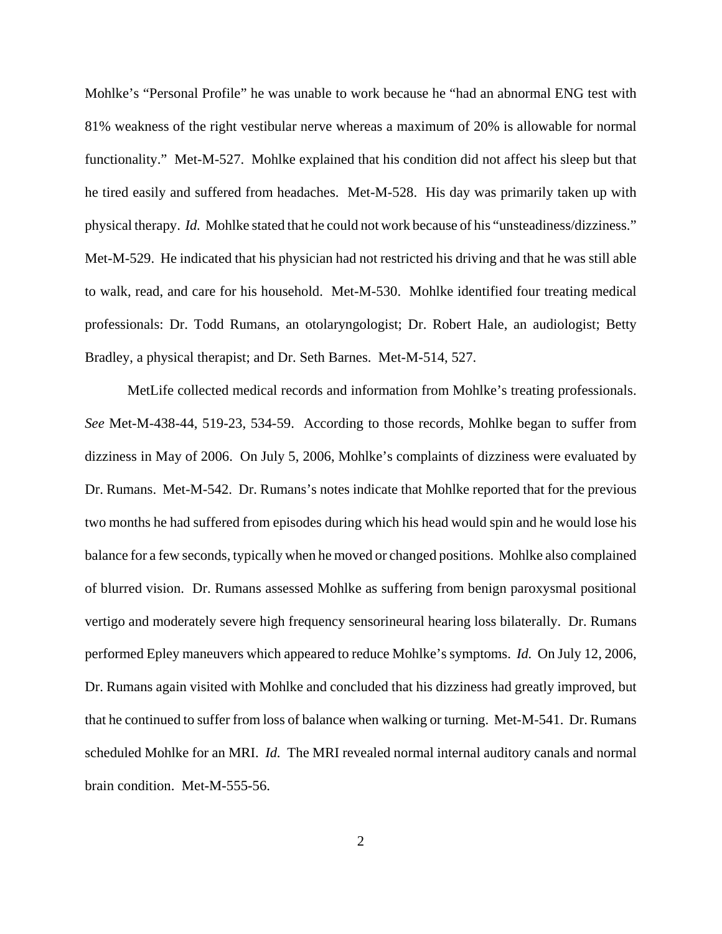Mohlke's "Personal Profile" he was unable to work because he "had an abnormal ENG test with 81% weakness of the right vestibular nerve whereas a maximum of 20% is allowable for normal functionality." Met-M-527. Mohlke explained that his condition did not affect his sleep but that he tired easily and suffered from headaches. Met-M-528. His day was primarily taken up with physical therapy. *Id.* Mohlke stated that he could not work because of his "unsteadiness/dizziness." Met-M-529. He indicated that his physician had not restricted his driving and that he was still able to walk, read, and care for his household. Met-M-530. Mohlke identified four treating medical professionals: Dr. Todd Rumans, an otolaryngologist; Dr. Robert Hale, an audiologist; Betty Bradley, a physical therapist; and Dr. Seth Barnes. Met-M-514, 527.

MetLife collected medical records and information from Mohlke's treating professionals. *See* Met-M-438-44, 519-23, 534-59. According to those records, Mohlke began to suffer from dizziness in May of 2006. On July 5, 2006, Mohlke's complaints of dizziness were evaluated by Dr. Rumans. Met-M-542. Dr. Rumans's notes indicate that Mohlke reported that for the previous two months he had suffered from episodes during which his head would spin and he would lose his balance for a few seconds, typically when he moved or changed positions. Mohlke also complained of blurred vision. Dr. Rumans assessed Mohlke as suffering from benign paroxysmal positional vertigo and moderately severe high frequency sensorineural hearing loss bilaterally. Dr. Rumans performed Epley maneuvers which appeared to reduce Mohlke's symptoms. *Id.* On July 12, 2006, Dr. Rumans again visited with Mohlke and concluded that his dizziness had greatly improved, but that he continued to suffer from loss of balance when walking or turning. Met-M-541. Dr. Rumans scheduled Mohlke for an MRI. *Id.* The MRI revealed normal internal auditory canals and normal brain condition. Met-M-555-56.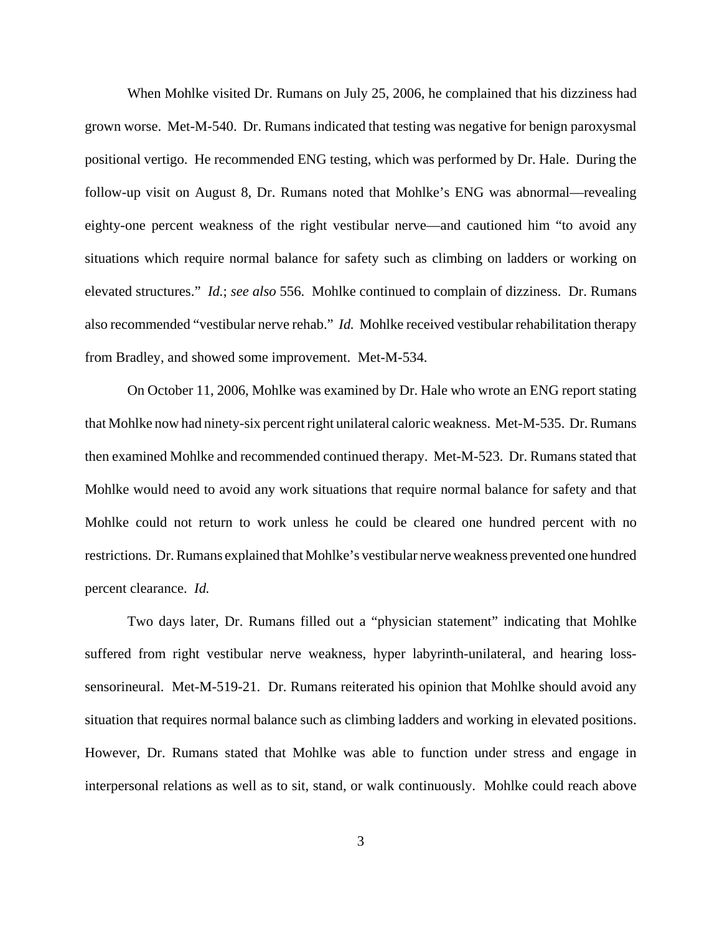When Mohlke visited Dr. Rumans on July 25, 2006, he complained that his dizziness had grown worse. Met-M-540. Dr. Rumans indicated that testing was negative for benign paroxysmal positional vertigo. He recommended ENG testing, which was performed by Dr. Hale. During the follow-up visit on August 8, Dr. Rumans noted that Mohlke's ENG was abnormal—revealing eighty-one percent weakness of the right vestibular nerve—and cautioned him "to avoid any situations which require normal balance for safety such as climbing on ladders or working on elevated structures." *Id.*; *see also* 556. Mohlke continued to complain of dizziness. Dr. Rumans also recommended "vestibular nerve rehab." *Id.* Mohlke received vestibular rehabilitation therapy from Bradley, and showed some improvement. Met-M-534.

On October 11, 2006, Mohlke was examined by Dr. Hale who wrote an ENG report stating that Mohlke now had ninety-six percent right unilateral caloric weakness. Met-M-535. Dr. Rumans then examined Mohlke and recommended continued therapy. Met-M-523. Dr. Rumans stated that Mohlke would need to avoid any work situations that require normal balance for safety and that Mohlke could not return to work unless he could be cleared one hundred percent with no restrictions. Dr. Rumans explained that Mohlke's vestibular nerve weakness prevented one hundred percent clearance. *Id.*

Two days later, Dr. Rumans filled out a "physician statement" indicating that Mohlke suffered from right vestibular nerve weakness, hyper labyrinth-unilateral, and hearing losssensorineural. Met-M-519-21. Dr. Rumans reiterated his opinion that Mohlke should avoid any situation that requires normal balance such as climbing ladders and working in elevated positions. However, Dr. Rumans stated that Mohlke was able to function under stress and engage in interpersonal relations as well as to sit, stand, or walk continuously. Mohlke could reach above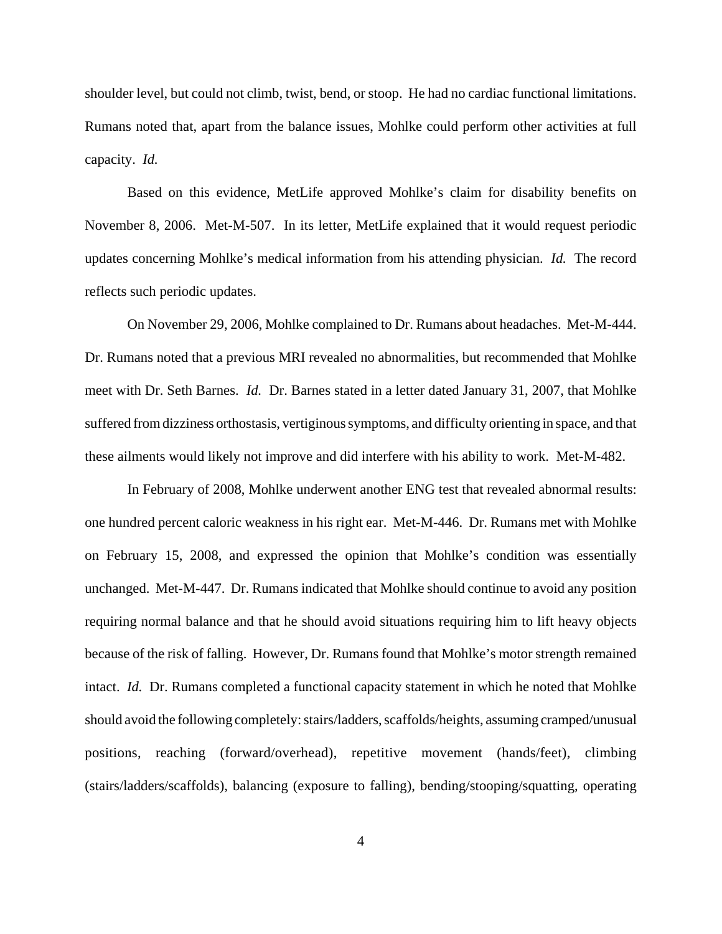shoulder level, but could not climb, twist, bend, or stoop. He had no cardiac functional limitations. Rumans noted that, apart from the balance issues, Mohlke could perform other activities at full capacity. *Id.*

Based on this evidence, MetLife approved Mohlke's claim for disability benefits on November 8, 2006. Met-M-507. In its letter, MetLife explained that it would request periodic updates concerning Mohlke's medical information from his attending physician. *Id.* The record reflects such periodic updates.

On November 29, 2006, Mohlke complained to Dr. Rumans about headaches. Met-M-444. Dr. Rumans noted that a previous MRI revealed no abnormalities, but recommended that Mohlke meet with Dr. Seth Barnes. *Id.* Dr. Barnes stated in a letter dated January 31, 2007, that Mohlke suffered from dizziness orthostasis, vertiginous symptoms, and difficulty orienting in space, and that these ailments would likely not improve and did interfere with his ability to work. Met-M-482.

In February of 2008, Mohlke underwent another ENG test that revealed abnormal results: one hundred percent caloric weakness in his right ear. Met-M-446. Dr. Rumans met with Mohlke on February 15, 2008, and expressed the opinion that Mohlke's condition was essentially unchanged. Met-M-447. Dr. Rumans indicated that Mohlke should continue to avoid any position requiring normal balance and that he should avoid situations requiring him to lift heavy objects because of the risk of falling. However, Dr. Rumans found that Mohlke's motor strength remained intact. *Id.* Dr. Rumans completed a functional capacity statement in which he noted that Mohlke should avoid the following completely: stairs/ladders, scaffolds/heights, assuming cramped/unusual positions, reaching (forward/overhead), repetitive movement (hands/feet), climbing (stairs/ladders/scaffolds), balancing (exposure to falling), bending/stooping/squatting, operating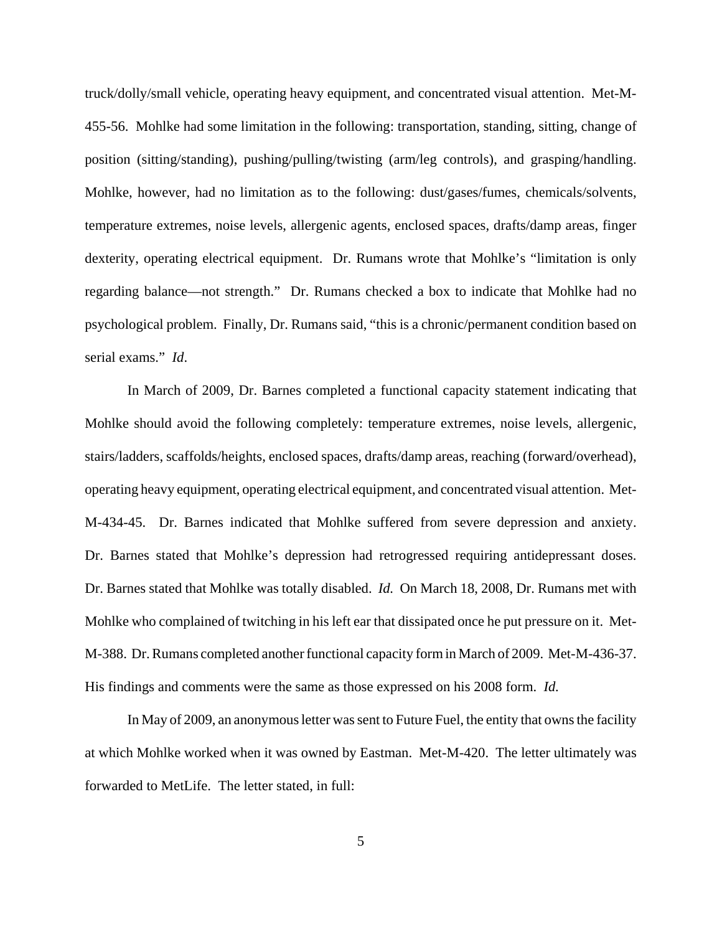truck/dolly/small vehicle, operating heavy equipment, and concentrated visual attention. Met-M-455-56. Mohlke had some limitation in the following: transportation, standing, sitting, change of position (sitting/standing), pushing/pulling/twisting (arm/leg controls), and grasping/handling. Mohlke, however, had no limitation as to the following: dust/gases/fumes, chemicals/solvents, temperature extremes, noise levels, allergenic agents, enclosed spaces, drafts/damp areas, finger dexterity, operating electrical equipment. Dr. Rumans wrote that Mohlke's "limitation is only regarding balance—not strength." Dr. Rumans checked a box to indicate that Mohlke had no psychological problem. Finally, Dr. Rumans said, "this is a chronic/permanent condition based on serial exams." *Id*.

In March of 2009, Dr. Barnes completed a functional capacity statement indicating that Mohlke should avoid the following completely: temperature extremes, noise levels, allergenic, stairs/ladders, scaffolds/heights, enclosed spaces, drafts/damp areas, reaching (forward/overhead), operating heavy equipment, operating electrical equipment, and concentrated visual attention. Met-M-434-45. Dr. Barnes indicated that Mohlke suffered from severe depression and anxiety. Dr. Barnes stated that Mohlke's depression had retrogressed requiring antidepressant doses. Dr. Barnes stated that Mohlke was totally disabled. *Id.* On March 18, 2008, Dr. Rumans met with Mohlke who complained of twitching in his left ear that dissipated once he put pressure on it. Met-M-388. Dr. Rumans completed another functional capacity form in March of 2009. Met-M-436-37. His findings and comments were the same as those expressed on his 2008 form. *Id.*

In May of 2009, an anonymous letter was sent to Future Fuel, the entity that owns the facility at which Mohlke worked when it was owned by Eastman. Met-M-420. The letter ultimately was forwarded to MetLife. The letter stated, in full: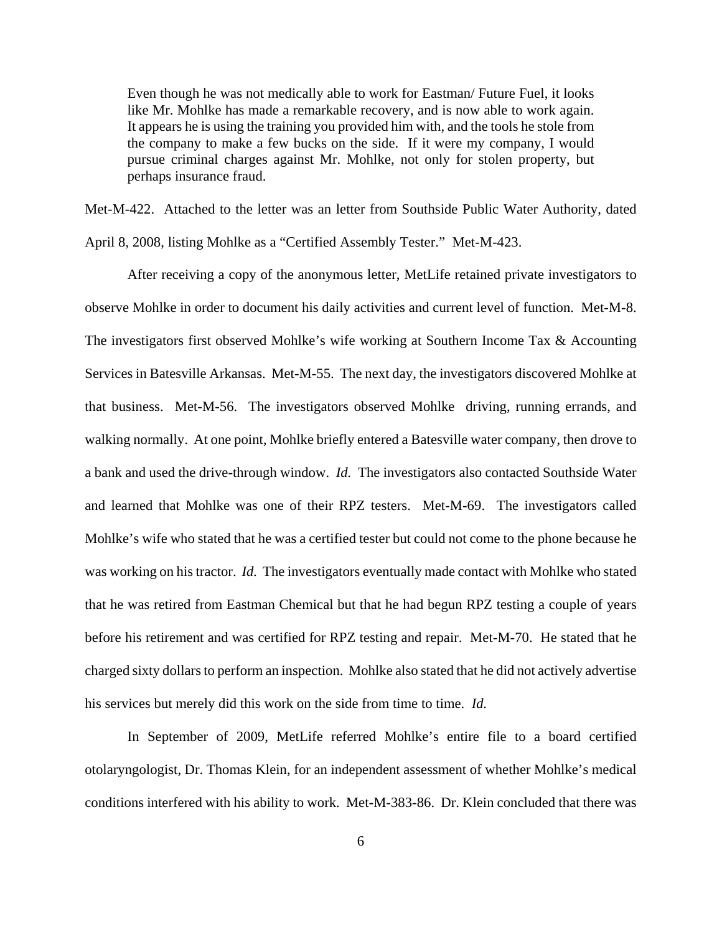Even though he was not medically able to work for Eastman/ Future Fuel, it looks like Mr. Mohlke has made a remarkable recovery, and is now able to work again. It appears he is using the training you provided him with, and the tools he stole from the company to make a few bucks on the side. If it were my company, I would pursue criminal charges against Mr. Mohlke, not only for stolen property, but perhaps insurance fraud.

Met-M-422. Attached to the letter was an letter from Southside Public Water Authority, dated April 8, 2008, listing Mohlke as a "Certified Assembly Tester." Met-M-423.

After receiving a copy of the anonymous letter, MetLife retained private investigators to observe Mohlke in order to document his daily activities and current level of function. Met-M-8. The investigators first observed Mohlke's wife working at Southern Income Tax & Accounting Services in Batesville Arkansas. Met-M-55. The next day, the investigators discovered Mohlke at that business. Met-M-56. The investigators observed Mohlke driving, running errands, and walking normally. At one point, Mohlke briefly entered a Batesville water company, then drove to a bank and used the drive-through window. *Id.* The investigators also contacted Southside Water and learned that Mohlke was one of their RPZ testers. Met-M-69. The investigators called Mohlke's wife who stated that he was a certified tester but could not come to the phone because he was working on his tractor. *Id.* The investigators eventually made contact with Mohlke who stated that he was retired from Eastman Chemical but that he had begun RPZ testing a couple of years before his retirement and was certified for RPZ testing and repair. Met-M-70. He stated that he charged sixty dollars to perform an inspection. Mohlke also stated that he did not actively advertise his services but merely did this work on the side from time to time. *Id.*

In September of 2009, MetLife referred Mohlke's entire file to a board certified otolaryngologist, Dr. Thomas Klein, for an independent assessment of whether Mohlke's medical conditions interfered with his ability to work. Met-M-383-86. Dr. Klein concluded that there was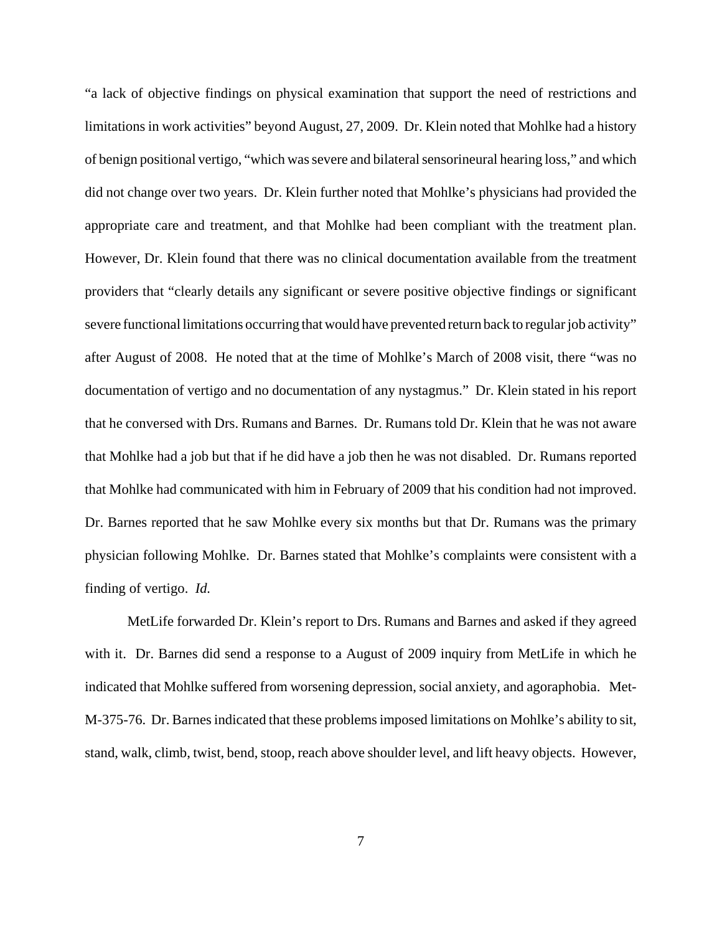"a lack of objective findings on physical examination that support the need of restrictions and limitations in work activities" beyond August, 27, 2009. Dr. Klein noted that Mohlke had a history of benign positional vertigo, "which was severe and bilateral sensorineural hearing loss," and which did not change over two years. Dr. Klein further noted that Mohlke's physicians had provided the appropriate care and treatment, and that Mohlke had been compliant with the treatment plan. However, Dr. Klein found that there was no clinical documentation available from the treatment providers that "clearly details any significant or severe positive objective findings or significant severe functional limitations occurring that would have prevented return back to regular job activity" after August of 2008. He noted that at the time of Mohlke's March of 2008 visit, there "was no documentation of vertigo and no documentation of any nystagmus." Dr. Klein stated in his report that he conversed with Drs. Rumans and Barnes. Dr. Rumans told Dr. Klein that he was not aware that Mohlke had a job but that if he did have a job then he was not disabled. Dr. Rumans reported that Mohlke had communicated with him in February of 2009 that his condition had not improved. Dr. Barnes reported that he saw Mohlke every six months but that Dr. Rumans was the primary physician following Mohlke. Dr. Barnes stated that Mohlke's complaints were consistent with a finding of vertigo. *Id.*

MetLife forwarded Dr. Klein's report to Drs. Rumans and Barnes and asked if they agreed with it. Dr. Barnes did send a response to a August of 2009 inquiry from MetLife in which he indicated that Mohlke suffered from worsening depression, social anxiety, and agoraphobia. Met-M-375-76. Dr. Barnes indicated that these problems imposed limitations on Mohlke's ability to sit, stand, walk, climb, twist, bend, stoop, reach above shoulder level, and lift heavy objects. However,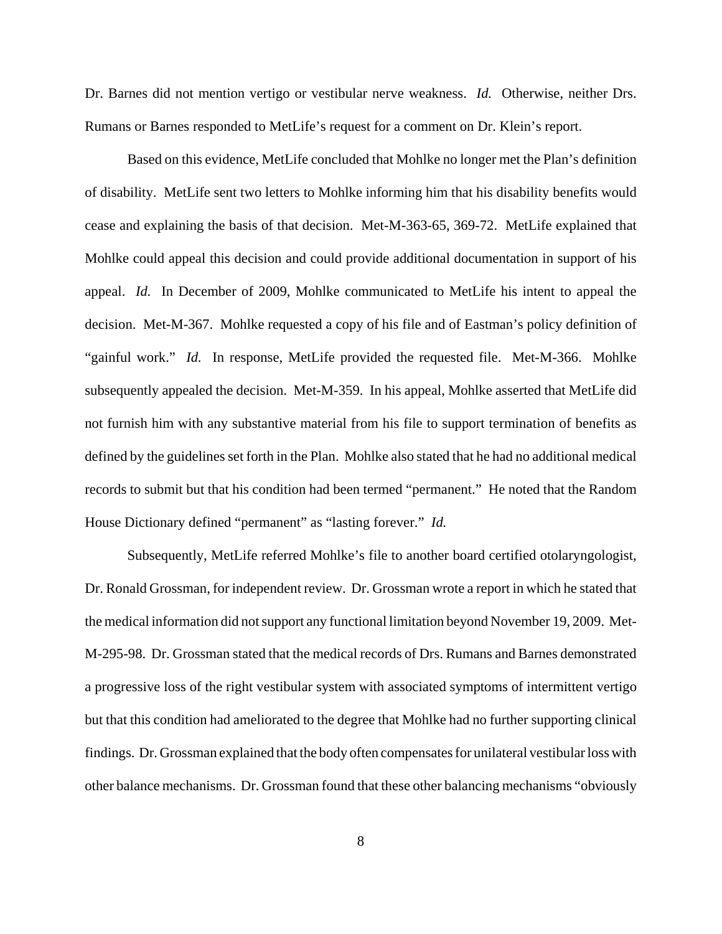Dr. Barnes did not mention vertigo or vestibular nerve weakness. *Id.* Otherwise, neither Drs. Rumans or Barnes responded to MetLife's request for a comment on Dr. Klein's report.

Based on this evidence, MetLife concluded that Mohlke no longer met the Plan's definition of disability. MetLife sent two letters to Mohlke informing him that his disability benefits would cease and explaining the basis of that decision. Met-M-363-65, 369-72. MetLife explained that Mohlke could appeal this decision and could provide additional documentation in support of his appeal. *Id.* In December of 2009, Mohlke communicated to MetLife his intent to appeal the decision. Met-M-367. Mohlke requested a copy of his file and of Eastman's policy definition of "gainful work." *Id.* In response, MetLife provided the requested file. Met-M-366. Mohlke subsequently appealed the decision. Met-M-359. In his appeal, Mohlke asserted that MetLife did not furnish him with any substantive material from his file to support termination of benefits as defined by the guidelines set forth in the Plan. Mohlke also stated that he had no additional medical records to submit but that his condition had been termed "permanent." He noted that the Random House Dictionary defined "permanent" as "lasting forever." *Id.*

Subsequently, MetLife referred Mohlke's file to another board certified otolaryngologist, Dr. Ronald Grossman, for independent review. Dr. Grossman wrote a report in which he stated that the medical information did not support any functional limitation beyond November 19, 2009. Met-M-295-98. Dr. Grossman stated that the medical records of Drs. Rumans and Barnes demonstrated a progressive loss of the right vestibular system with associated symptoms of intermittent vertigo but that this condition had ameliorated to the degree that Mohlke had no further supporting clinical findings. Dr. Grossman explained that the body often compensates for unilateral vestibular loss with other balance mechanisms. Dr. Grossman found that these other balancing mechanisms "obviously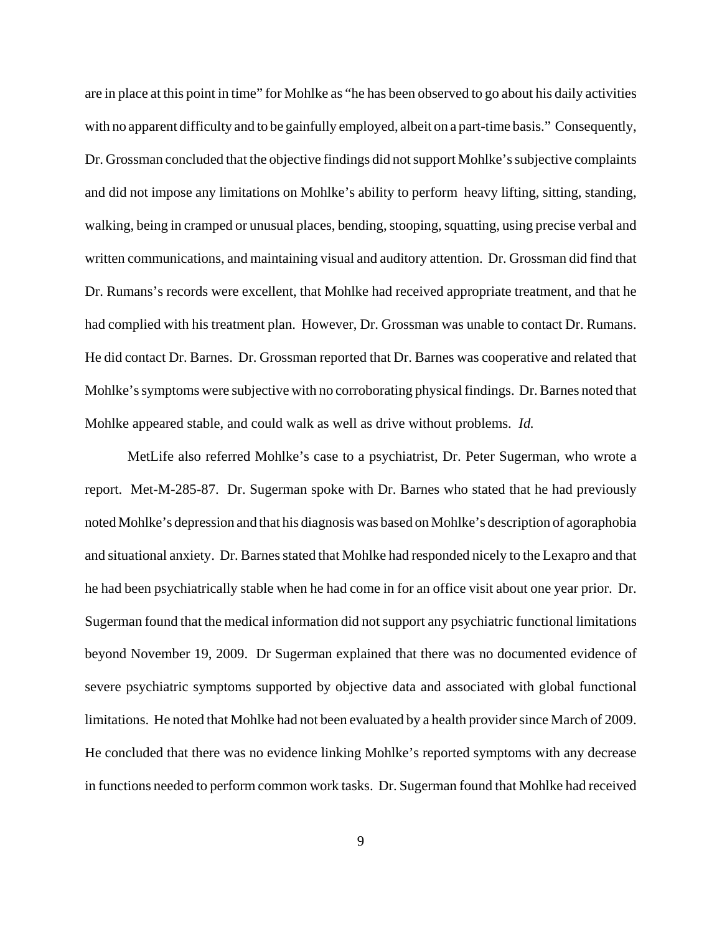are in place at this point in time" for Mohlke as "he has been observed to go about his daily activities with no apparent difficulty and to be gainfully employed, albeit on a part-time basis." Consequently, Dr. Grossman concluded that the objective findings did not support Mohlke's subjective complaints and did not impose any limitations on Mohlke's ability to perform heavy lifting, sitting, standing, walking, being in cramped or unusual places, bending, stooping, squatting, using precise verbal and written communications, and maintaining visual and auditory attention. Dr. Grossman did find that Dr. Rumans's records were excellent, that Mohlke had received appropriate treatment, and that he had complied with his treatment plan. However, Dr. Grossman was unable to contact Dr. Rumans. He did contact Dr. Barnes. Dr. Grossman reported that Dr. Barnes was cooperative and related that Mohlke's symptoms were subjective with no corroborating physical findings. Dr. Barnes noted that Mohlke appeared stable, and could walk as well as drive without problems. *Id.*

MetLife also referred Mohlke's case to a psychiatrist, Dr. Peter Sugerman, who wrote a report. Met-M-285-87. Dr. Sugerman spoke with Dr. Barnes who stated that he had previously noted Mohlke's depression and that his diagnosis was based on Mohlke's description of agoraphobia and situational anxiety. Dr. Barnes stated that Mohlke had responded nicely to the Lexapro and that he had been psychiatrically stable when he had come in for an office visit about one year prior. Dr. Sugerman found that the medical information did not support any psychiatric functional limitations beyond November 19, 2009. Dr Sugerman explained that there was no documented evidence of severe psychiatric symptoms supported by objective data and associated with global functional limitations. He noted that Mohlke had not been evaluated by a health provider since March of 2009. He concluded that there was no evidence linking Mohlke's reported symptoms with any decrease in functions needed to perform common work tasks. Dr. Sugerman found that Mohlke had received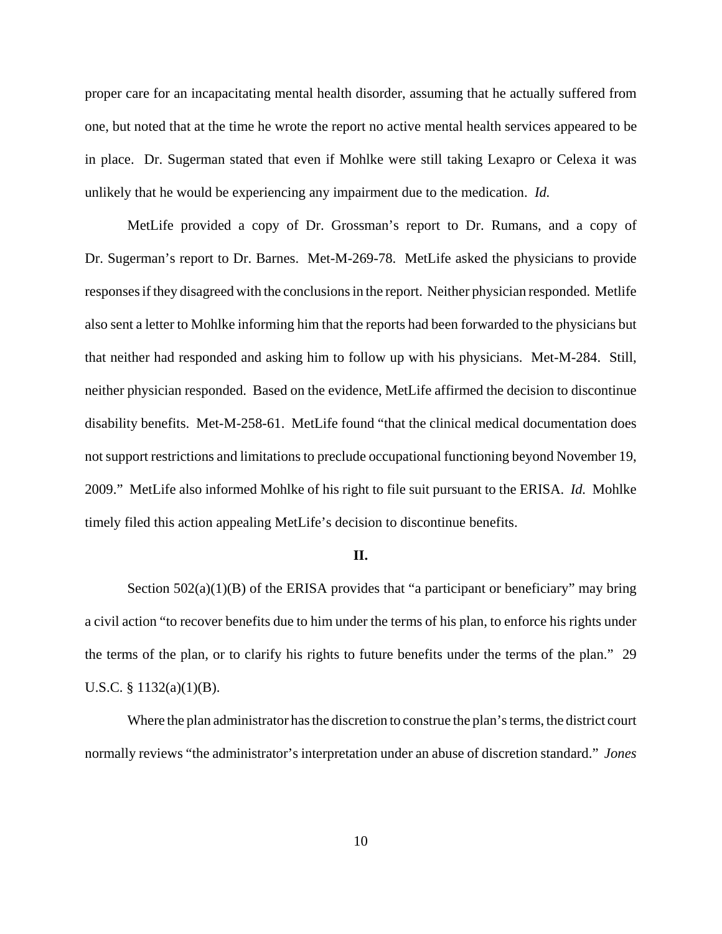proper care for an incapacitating mental health disorder, assuming that he actually suffered from one, but noted that at the time he wrote the report no active mental health services appeared to be in place. Dr. Sugerman stated that even if Mohlke were still taking Lexapro or Celexa it was unlikely that he would be experiencing any impairment due to the medication. *Id.*

MetLife provided a copy of Dr. Grossman's report to Dr. Rumans, and a copy of Dr. Sugerman's report to Dr. Barnes. Met-M-269-78. MetLife asked the physicians to provide responses if they disagreed with the conclusions in the report. Neither physician responded. Metlife also sent a letter to Mohlke informing him that the reports had been forwarded to the physicians but that neither had responded and asking him to follow up with his physicians. Met-M-284. Still, neither physician responded. Based on the evidence, MetLife affirmed the decision to discontinue disability benefits. Met-M-258-61. MetLife found "that the clinical medical documentation does not support restrictions and limitations to preclude occupational functioning beyond November 19, 2009." MetLife also informed Mohlke of his right to file suit pursuant to the ERISA. *Id.* Mohlke timely filed this action appealing MetLife's decision to discontinue benefits.

#### **II.**

Section  $502(a)(1)(B)$  of the ERISA provides that "a participant or beneficiary" may bring a civil action "to recover benefits due to him under the terms of his plan, to enforce his rights under the terms of the plan, or to clarify his rights to future benefits under the terms of the plan." 29 U.S.C. § 1132(a)(1)(B).

Where the plan administrator has the discretion to construe the plan's terms, the district court normally reviews "the administrator's interpretation under an abuse of discretion standard." *Jones*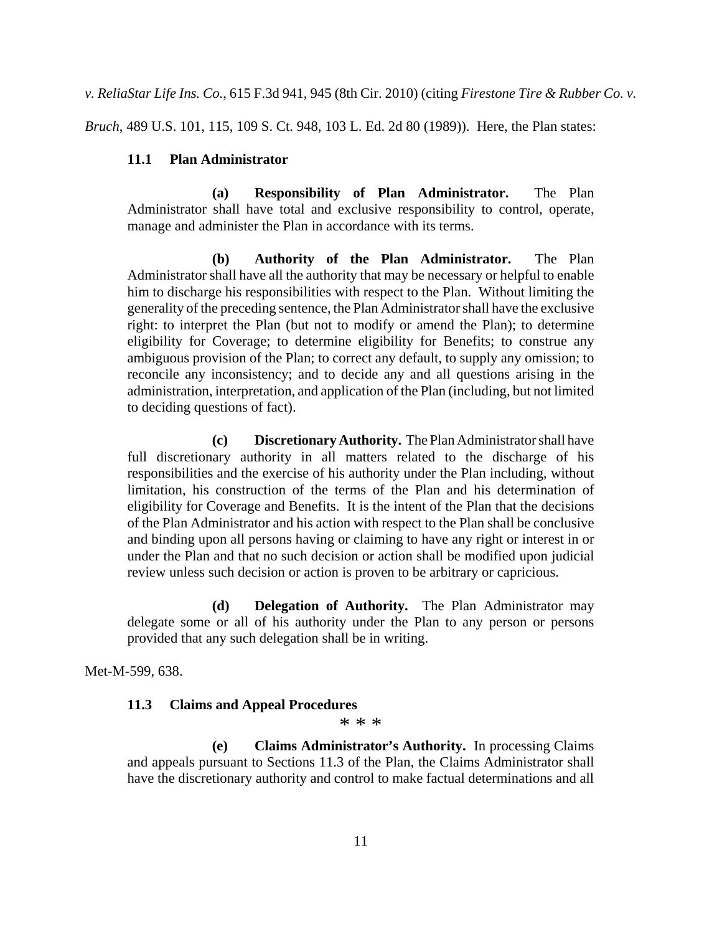*v. ReliaStar Life Ins. Co.*, 615 F.3d 941, 945 (8th Cir. 2010) (citing *Firestone Tire & Rubber Co. v.*

*Bruch*, 489 U.S. 101, 115, 109 S. Ct. 948, 103 L. Ed. 2d 80 (1989)). Here, the Plan states:

### **11.1 Plan Administrator**

**(a) Responsibility of Plan Administrator.** The Plan Administrator shall have total and exclusive responsibility to control, operate, manage and administer the Plan in accordance with its terms.

**(b) Authority of the Plan Administrator.** The Plan Administrator shall have all the authority that may be necessary or helpful to enable him to discharge his responsibilities with respect to the Plan. Without limiting the generality of the preceding sentence, the Plan Administrator shall have the exclusive right: to interpret the Plan (but not to modify or amend the Plan); to determine eligibility for Coverage; to determine eligibility for Benefits; to construe any ambiguous provision of the Plan; to correct any default, to supply any omission; to reconcile any inconsistency; and to decide any and all questions arising in the administration, interpretation, and application of the Plan (including, but not limited to deciding questions of fact).

**(c) Discretionary Authority.** The Plan Administrator shall have full discretionary authority in all matters related to the discharge of his responsibilities and the exercise of his authority under the Plan including, without limitation, his construction of the terms of the Plan and his determination of eligibility for Coverage and Benefits. It is the intent of the Plan that the decisions of the Plan Administrator and his action with respect to the Plan shall be conclusive and binding upon all persons having or claiming to have any right or interest in or under the Plan and that no such decision or action shall be modified upon judicial review unless such decision or action is proven to be arbitrary or capricious.

**(d) Delegation of Authority.** The Plan Administrator may delegate some or all of his authority under the Plan to any person or persons provided that any such delegation shall be in writing.

Met-M-599, 638.

#### **11.3 Claims and Appeal Procedures**

\* \* \*

**(e) Claims Administrator's Authority.** In processing Claims and appeals pursuant to Sections 11.3 of the Plan, the Claims Administrator shall have the discretionary authority and control to make factual determinations and all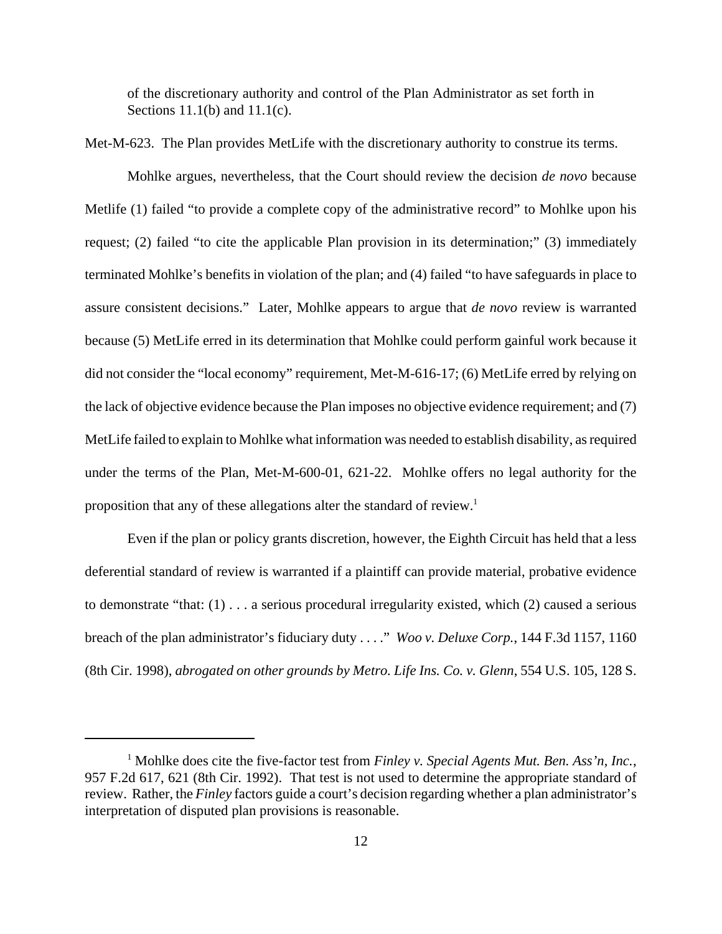of the discretionary authority and control of the Plan Administrator as set forth in Sections 11.1(b) and 11.1(c).

Met-M-623. The Plan provides MetLife with the discretionary authority to construe its terms.

Mohlke argues, nevertheless, that the Court should review the decision *de novo* because Metlife (1) failed "to provide a complete copy of the administrative record" to Mohlke upon his request; (2) failed "to cite the applicable Plan provision in its determination;" (3) immediately terminated Mohlke's benefits in violation of the plan; and (4) failed "to have safeguards in place to assure consistent decisions." Later, Mohlke appears to argue that *de novo* review is warranted because (5) MetLife erred in its determination that Mohlke could perform gainful work because it did not consider the "local economy" requirement, Met-M-616-17; (6) MetLife erred by relying on the lack of objective evidence because the Plan imposes no objective evidence requirement; and (7) MetLife failed to explain to Mohlke what information was needed to establish disability, as required under the terms of the Plan, Met-M-600-01, 621-22. Mohlke offers no legal authority for the proposition that any of these allegations alter the standard of review.<sup>1</sup>

Even if the plan or policy grants discretion, however, the Eighth Circuit has held that a less deferential standard of review is warranted if a plaintiff can provide material, probative evidence to demonstrate "that:  $(1)$ ... a serious procedural irregularity existed, which  $(2)$  caused a serious breach of the plan administrator's fiduciary duty . . . ." *Woo v. Deluxe Corp.*, 144 F.3d 1157, 1160 (8th Cir. 1998), *abrogated on other grounds by Metro. Life Ins. Co. v. Glenn*, 554 U.S. 105, 128 S.

<sup>&</sup>lt;sup>1</sup> Mohlke does cite the five-factor test from *Finley v. Special Agents Mut. Ben. Ass'n, Inc.*, 957 F.2d 617, 621 (8th Cir. 1992). That test is not used to determine the appropriate standard of review. Rather, the *Finley* factors guide a court's decision regarding whether a plan administrator's interpretation of disputed plan provisions is reasonable.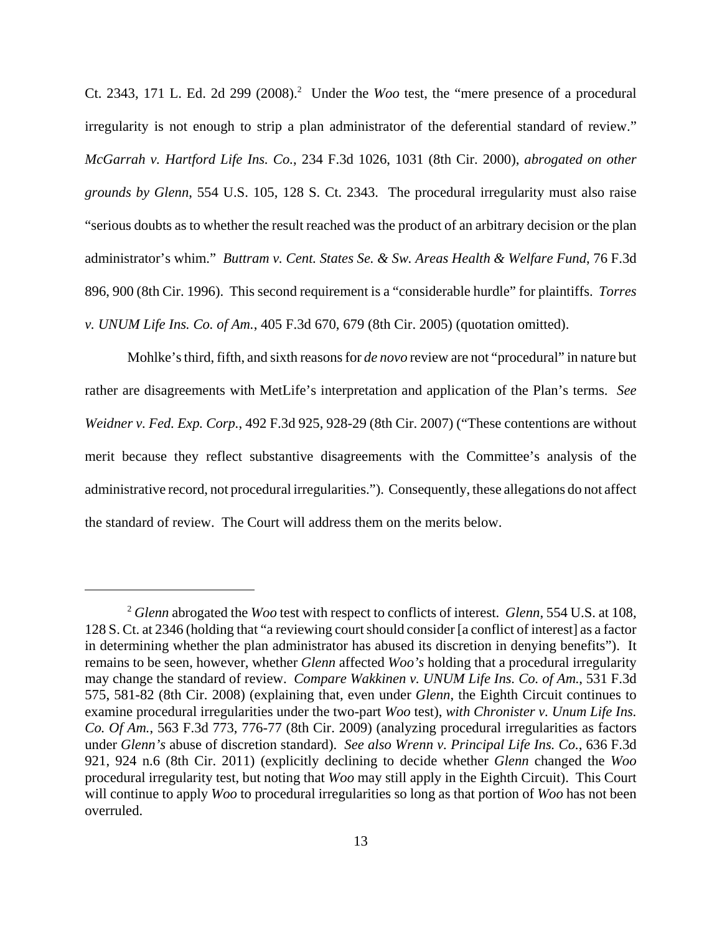Ct. 2343, 171 L. Ed. 2d 299  $(2008)^2$  Under the *Woo* test, the "mere presence of a procedural irregularity is not enough to strip a plan administrator of the deferential standard of review." *McGarrah v. Hartford Life Ins. Co.*, 234 F.3d 1026, 1031 (8th Cir. 2000), *abrogated on other grounds by Glenn*, 554 U.S. 105, 128 S. Ct. 2343. The procedural irregularity must also raise "serious doubts as to whether the result reached was the product of an arbitrary decision or the plan administrator's whim." *Buttram v. Cent. States Se. & Sw. Areas Health & Welfare Fund*, 76 F.3d 896, 900 (8th Cir. 1996). This second requirement is a "considerable hurdle" for plaintiffs. *Torres v. UNUM Life Ins. Co. of Am.*, 405 F.3d 670, 679 (8th Cir. 2005) (quotation omitted).

Mohlke's third, fifth, and sixth reasons for *de novo* review are not "procedural" in nature but rather are disagreements with MetLife's interpretation and application of the Plan's terms. *See Weidner v. Fed. Exp. Corp.*, 492 F.3d 925, 928-29 (8th Cir. 2007) ("These contentions are without merit because they reflect substantive disagreements with the Committee's analysis of the administrative record, not procedural irregularities."). Consequently, these allegations do not affect the standard of review. The Court will address them on the merits below.

<sup>2</sup>  *Glenn* abrogated the *Woo* test with respect to conflicts of interest. *Glenn*, 554 U.S. at 108, 128 S. Ct. at 2346 (holding that "a reviewing court should consider [a conflict of interest] as a factor in determining whether the plan administrator has abused its discretion in denying benefits"). It remains to be seen, however, whether *Glenn* affected *Woo's* holding that a procedural irregularity may change the standard of review. *Compare Wakkinen v. UNUM Life Ins. Co. of Am.*, 531 F.3d 575, 581-82 (8th Cir. 2008) (explaining that, even under *Glenn*, the Eighth Circuit continues to examine procedural irregularities under the two-part *Woo* test), *with Chronister v. Unum Life Ins. Co. Of Am.*, 563 F.3d 773, 776-77 (8th Cir. 2009) (analyzing procedural irregularities as factors under *Glenn's* abuse of discretion standard). *See also Wrenn v. Principal Life Ins. Co.*, 636 F.3d 921, 924 n.6 (8th Cir. 2011) (explicitly declining to decide whether *Glenn* changed the *Woo* procedural irregularity test, but noting that *Woo* may still apply in the Eighth Circuit). This Court will continue to apply *Woo* to procedural irregularities so long as that portion of *Woo* has not been overruled.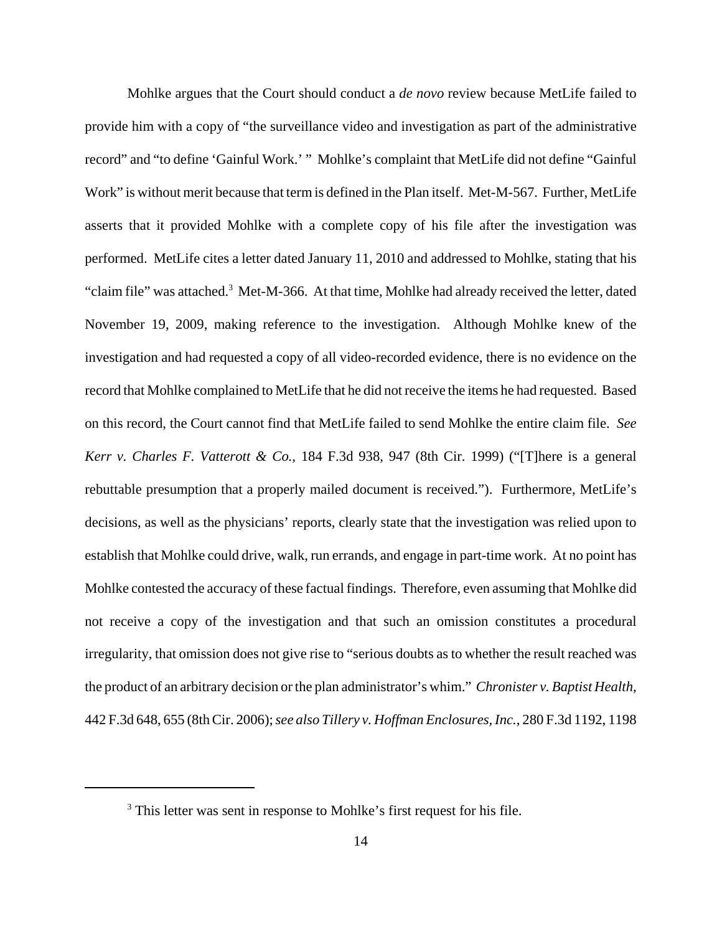Mohlke argues that the Court should conduct a *de novo* review because MetLife failed to provide him with a copy of "the surveillance video and investigation as part of the administrative record" and "to define 'Gainful Work.' " Mohlke's complaint that MetLife did not define "Gainful Work" is without merit because that term is defined in the Plan itself. Met-M-567. Further, MetLife asserts that it provided Mohlke with a complete copy of his file after the investigation was performed. MetLife cites a letter dated January 11, 2010 and addressed to Mohlke, stating that his "claim file" was attached.<sup>3</sup> Met-M-366. At that time, Mohlke had already received the letter, dated November 19, 2009, making reference to the investigation. Although Mohlke knew of the investigation and had requested a copy of all video-recorded evidence, there is no evidence on the record that Mohlke complained to MetLife that he did not receive the items he had requested. Based on this record, the Court cannot find that MetLife failed to send Mohlke the entire claim file. *See Kerr v. Charles F. Vatterott & Co.*, 184 F.3d 938, 947 (8th Cir. 1999) ("[T]here is a general rebuttable presumption that a properly mailed document is received."). Furthermore, MetLife's decisions, as well as the physicians' reports, clearly state that the investigation was relied upon to establish that Mohlke could drive, walk, run errands, and engage in part-time work. At no point has Mohlke contested the accuracy of these factual findings. Therefore, even assuming that Mohlke did not receive a copy of the investigation and that such an omission constitutes a procedural irregularity, that omission does not give rise to "serious doubts as to whether the result reached was the product of an arbitrary decision or the plan administrator's whim." *Chronister v. Baptist Health*, 442 F.3d 648, 655 (8th Cir. 2006); *see also Tillery v. Hoffman Enclosures, Inc.*, 280 F.3d 1192, 1198

<sup>&</sup>lt;sup>3</sup> This letter was sent in response to Mohlke's first request for his file.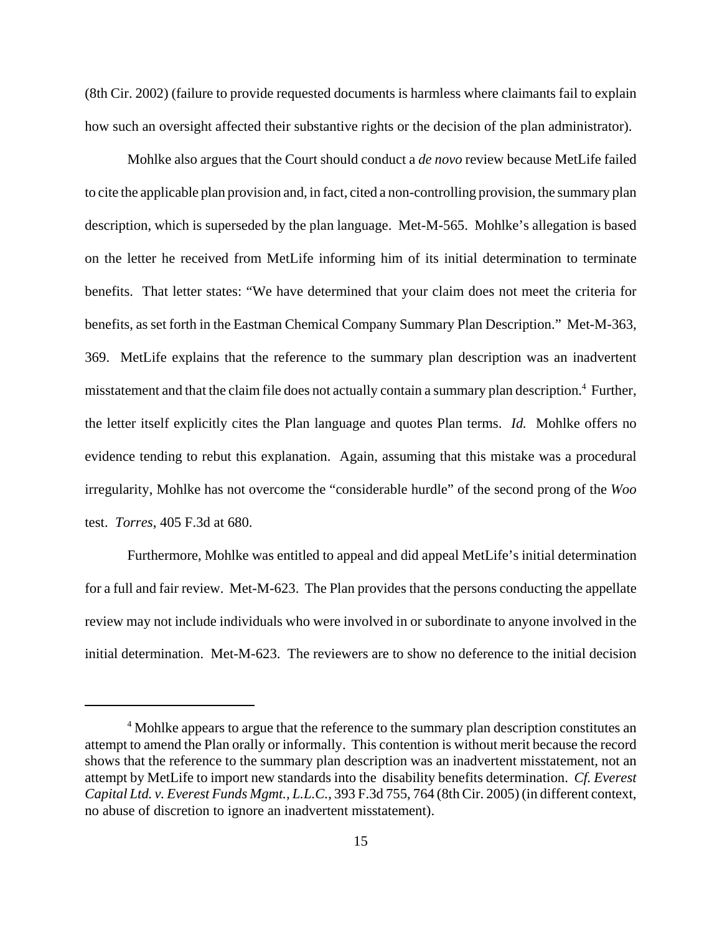(8th Cir. 2002) (failure to provide requested documents is harmless where claimants fail to explain how such an oversight affected their substantive rights or the decision of the plan administrator).

Mohlke also argues that the Court should conduct a *de novo* review because MetLife failed to cite the applicable plan provision and, in fact, cited a non-controlling provision, the summary plan description, which is superseded by the plan language. Met-M-565. Mohlke's allegation is based on the letter he received from MetLife informing him of its initial determination to terminate benefits. That letter states: "We have determined that your claim does not meet the criteria for benefits, as set forth in the Eastman Chemical Company Summary Plan Description." Met-M-363, 369. MetLife explains that the reference to the summary plan description was an inadvertent misstatement and that the claim file does not actually contain a summary plan description.<sup>4</sup> Further, the letter itself explicitly cites the Plan language and quotes Plan terms. *Id.* Mohlke offers no evidence tending to rebut this explanation. Again, assuming that this mistake was a procedural irregularity, Mohlke has not overcome the "considerable hurdle" of the second prong of the *Woo* test. *Torres*, 405 F.3d at 680.

Furthermore, Mohlke was entitled to appeal and did appeal MetLife's initial determination for a full and fair review. Met-M-623. The Plan provides that the persons conducting the appellate review may not include individuals who were involved in or subordinate to anyone involved in the initial determination. Met-M-623. The reviewers are to show no deference to the initial decision

<sup>&</sup>lt;sup>4</sup> Mohlke appears to argue that the reference to the summary plan description constitutes an attempt to amend the Plan orally or informally. This contention is without merit because the record shows that the reference to the summary plan description was an inadvertent misstatement, not an attempt by MetLife to import new standards into the disability benefits determination. *Cf. Everest Capital Ltd. v. Everest Funds Mgmt., L.L.C.*, 393 F.3d 755, 764 (8th Cir. 2005) (in different context, no abuse of discretion to ignore an inadvertent misstatement).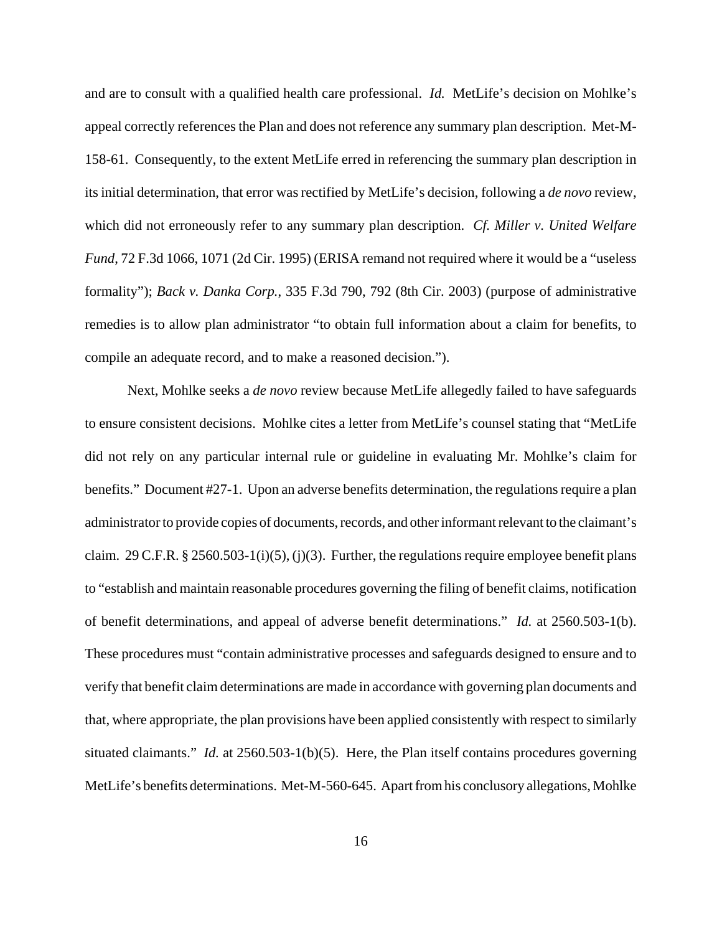and are to consult with a qualified health care professional. *Id.* MetLife's decision on Mohlke's appeal correctly references the Plan and does not reference any summary plan description. Met-M-158-61. Consequently, to the extent MetLife erred in referencing the summary plan description in its initial determination, that error was rectified by MetLife's decision, following a *de novo* review, which did not erroneously refer to any summary plan description. *Cf. Miller v. United Welfare Fund*, 72 F.3d 1066, 1071 (2d Cir. 1995) (ERISA remand not required where it would be a "useless formality"); *Back v. Danka Corp.*, 335 F.3d 790, 792 (8th Cir. 2003) (purpose of administrative remedies is to allow plan administrator "to obtain full information about a claim for benefits, to compile an adequate record, and to make a reasoned decision.").

Next, Mohlke seeks a *de novo* review because MetLife allegedly failed to have safeguards to ensure consistent decisions. Mohlke cites a letter from MetLife's counsel stating that "MetLife did not rely on any particular internal rule or guideline in evaluating Mr. Mohlke's claim for benefits." Document #27-1. Upon an adverse benefits determination, the regulations require a plan administrator to provide copies of documents, records, and other informant relevant to the claimant's claim. 29 C.F.R. § 2560.503-1(i)(5), (j)(3). Further, the regulations require employee benefit plans to "establish and maintain reasonable procedures governing the filing of benefit claims, notification of benefit determinations, and appeal of adverse benefit determinations." *Id.* at 2560.503-1(b). These procedures must "contain administrative processes and safeguards designed to ensure and to verify that benefit claim determinations are made in accordance with governing plan documents and that, where appropriate, the plan provisions have been applied consistently with respect to similarly situated claimants." *Id.* at 2560.503-1(b)(5). Here, the Plan itself contains procedures governing MetLife's benefits determinations. Met-M-560-645. Apart from his conclusory allegations, Mohlke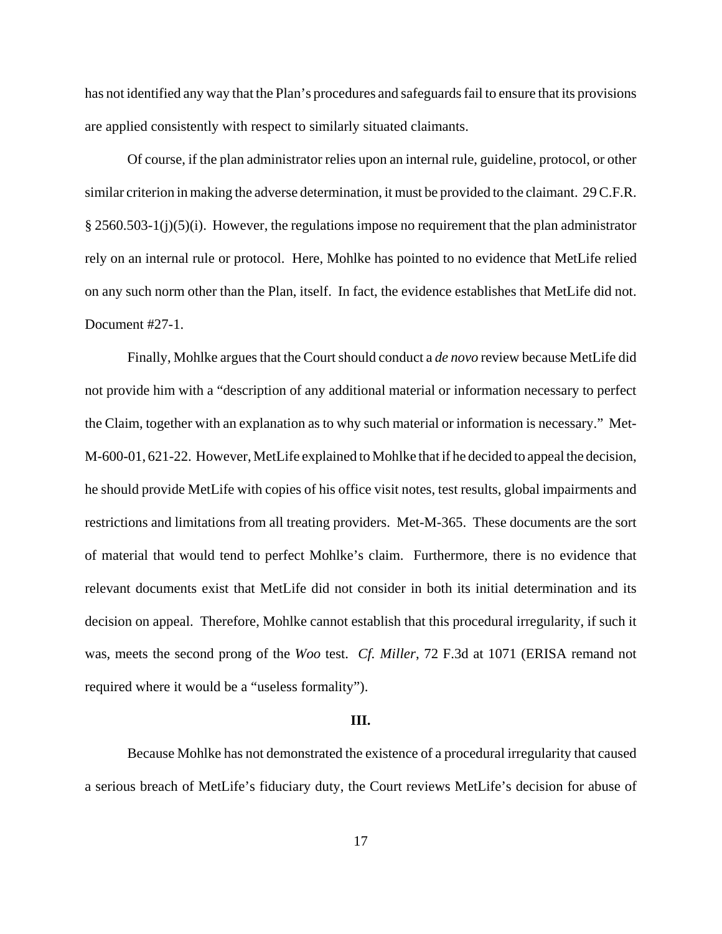has not identified any way that the Plan's procedures and safeguards fail to ensure that its provisions are applied consistently with respect to similarly situated claimants.

Of course, if the plan administrator relies upon an internal rule, guideline, protocol, or other similar criterion in making the adverse determination, it must be provided to the claimant. 29 C.F.R.  $\S 2560.503-1(j)(5)(i)$ . However, the regulations impose no requirement that the plan administrator rely on an internal rule or protocol. Here, Mohlke has pointed to no evidence that MetLife relied on any such norm other than the Plan, itself. In fact, the evidence establishes that MetLife did not. Document #27-1.

Finally, Mohlke argues that the Court should conduct a *de novo* review because MetLife did not provide him with a "description of any additional material or information necessary to perfect the Claim, together with an explanation as to why such material or information is necessary." Met-M-600-01, 621-22. However, MetLife explained to Mohlke that if he decided to appeal the decision, he should provide MetLife with copies of his office visit notes, test results, global impairments and restrictions and limitations from all treating providers. Met-M-365. These documents are the sort of material that would tend to perfect Mohlke's claim. Furthermore, there is no evidence that relevant documents exist that MetLife did not consider in both its initial determination and its decision on appeal. Therefore, Mohlke cannot establish that this procedural irregularity, if such it was, meets the second prong of the *Woo* test. *Cf. Miller*, 72 F.3d at 1071 (ERISA remand not required where it would be a "useless formality").

#### **III.**

Because Mohlke has not demonstrated the existence of a procedural irregularity that caused a serious breach of MetLife's fiduciary duty, the Court reviews MetLife's decision for abuse of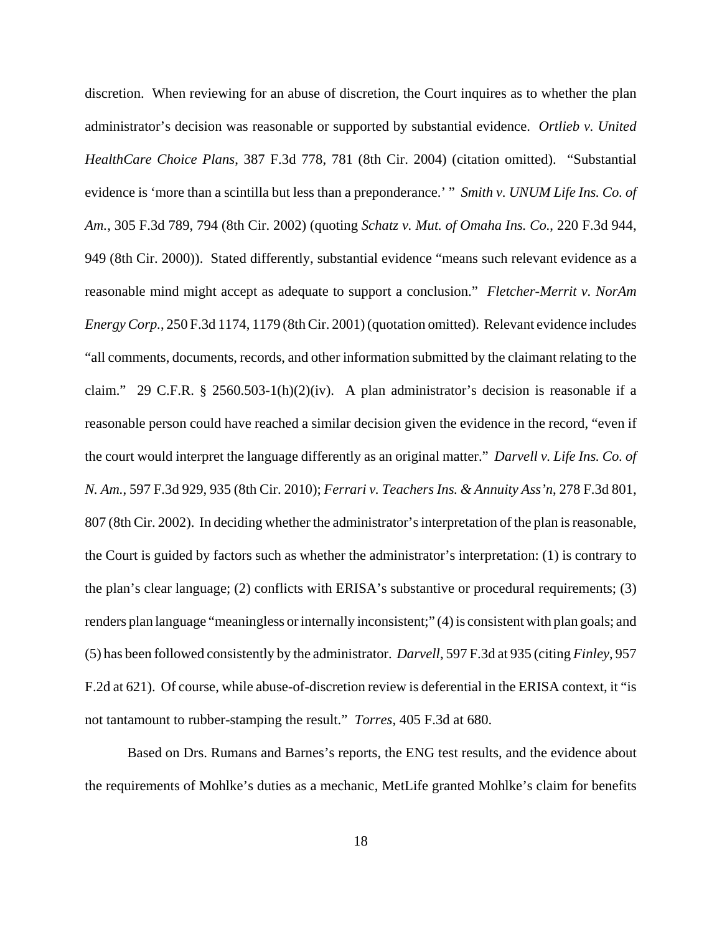discretion. When reviewing for an abuse of discretion, the Court inquires as to whether the plan administrator's decision was reasonable or supported by substantial evidence. *Ortlieb v. United HealthCare Choice Plans*, 387 F.3d 778, 781 (8th Cir. 2004) (citation omitted). "Substantial evidence is 'more than a scintilla but less than a preponderance.' " *Smith v. UNUM Life Ins. Co. of Am.*, 305 F.3d 789, 794 (8th Cir. 2002) (quoting *Schatz v. Mut. of Omaha Ins. Co.*, 220 F.3d 944, 949 (8th Cir. 2000)). Stated differently, substantial evidence "means such relevant evidence as a reasonable mind might accept as adequate to support a conclusion." *Fletcher-Merrit v. NorAm Energy Corp.*, 250 F.3d 1174, 1179 (8th Cir. 2001) (quotation omitted). Relevant evidence includes "all comments, documents, records, and other information submitted by the claimant relating to the claim." 29 C.F.R. § 2560.503-1(h)(2)(iv). A plan administrator's decision is reasonable if a reasonable person could have reached a similar decision given the evidence in the record, "even if the court would interpret the language differently as an original matter." *Darvell v. Life Ins. Co. of N. Am.*, 597 F.3d 929, 935 (8th Cir. 2010); *Ferrari v. Teachers Ins. & Annuity Ass'n*, 278 F.3d 801, 807 (8th Cir. 2002). In deciding whether the administrator's interpretation of the plan is reasonable, the Court is guided by factors such as whether the administrator's interpretation: (1) is contrary to the plan's clear language; (2) conflicts with ERISA's substantive or procedural requirements; (3) renders plan language "meaningless or internally inconsistent;" (4) is consistent with plan goals; and (5) has been followed consistently by the administrator. *Darvell*, 597 F.3d at 935 (citing *Finley*, 957 F.2d at 621). Of course, while abuse-of-discretion review is deferential in the ERISA context, it "is not tantamount to rubber-stamping the result." *Torres*, 405 F.3d at 680.

Based on Drs. Rumans and Barnes's reports, the ENG test results, and the evidence about the requirements of Mohlke's duties as a mechanic, MetLife granted Mohlke's claim for benefits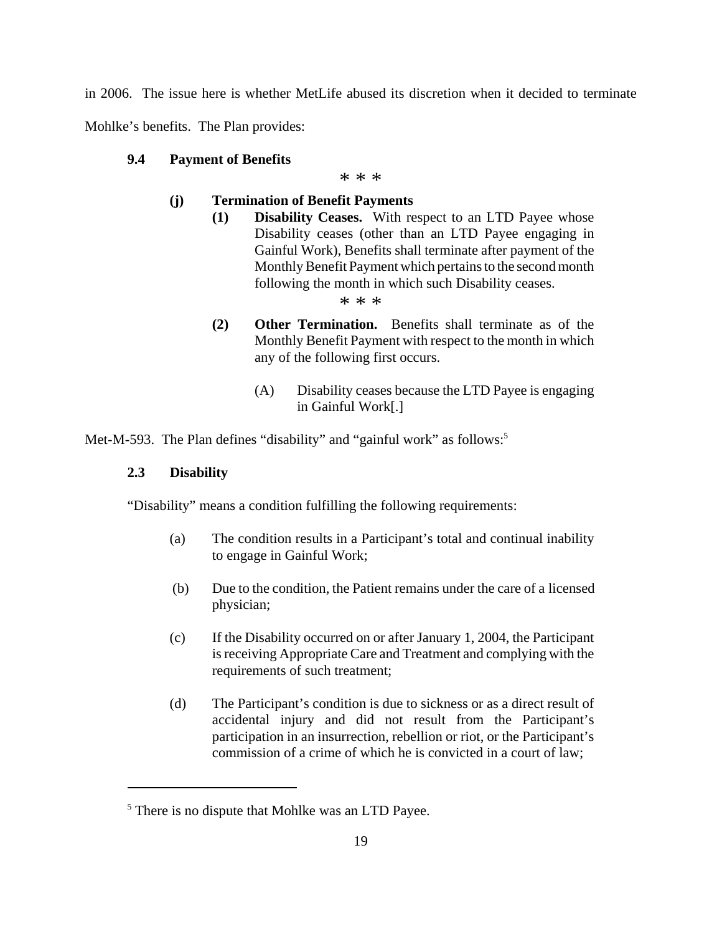in 2006. The issue here is whether MetLife abused its discretion when it decided to terminate

Mohlke's benefits. The Plan provides:

### **9.4 Payment of Benefits**

\* \* \*

# **(j) Termination of Benefit Payments**

**(1) Disability Ceases.** With respect to an LTD Payee whose Disability ceases (other than an LTD Payee engaging in Gainful Work), Benefits shall terminate after payment of the Monthly Benefit Payment which pertains to the second month following the month in which such Disability ceases.

\* \* \*

- **(2) Other Termination.** Benefits shall terminate as of the Monthly Benefit Payment with respect to the month in which any of the following first occurs.
	- (A) Disability ceases because the LTD Payee is engaging in Gainful Work[.]

Met-M-593. The Plan defines "disability" and "gainful work" as follows:<sup>5</sup>

### **2.3 Disability**

"Disability" means a condition fulfilling the following requirements:

- (a) The condition results in a Participant's total and continual inability to engage in Gainful Work;
- (b) Due to the condition, the Patient remains under the care of a licensed physician;
- (c) If the Disability occurred on or after January 1, 2004, the Participant is receiving Appropriate Care and Treatment and complying with the requirements of such treatment;
- (d) The Participant's condition is due to sickness or as a direct result of accidental injury and did not result from the Participant's participation in an insurrection, rebellion or riot, or the Participant's commission of a crime of which he is convicted in a court of law;

<sup>&</sup>lt;sup>5</sup> There is no dispute that Mohlke was an LTD Payee.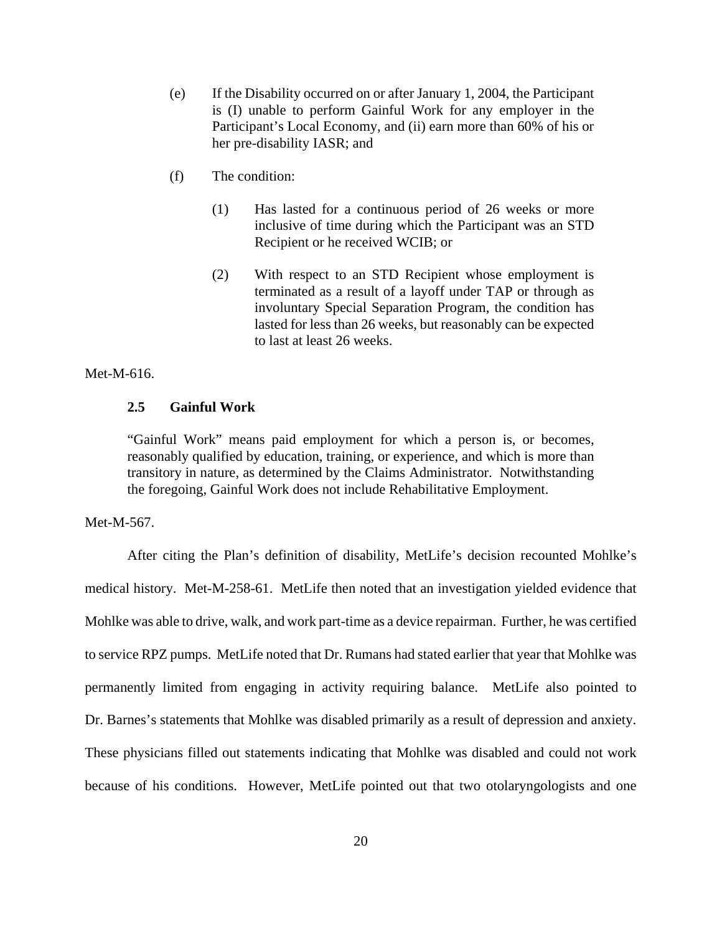- (e) If the Disability occurred on or after January 1, 2004, the Participant is (I) unable to perform Gainful Work for any employer in the Participant's Local Economy, and (ii) earn more than 60% of his or her pre-disability IASR; and
- (f) The condition:
	- (1) Has lasted for a continuous period of 26 weeks or more inclusive of time during which the Participant was an STD Recipient or he received WCIB; or
	- (2) With respect to an STD Recipient whose employment is terminated as a result of a layoff under TAP or through as involuntary Special Separation Program, the condition has lasted for less than 26 weeks, but reasonably can be expected to last at least 26 weeks.

#### Met-M-616.

### **2.5 Gainful Work**

"Gainful Work" means paid employment for which a person is, or becomes, reasonably qualified by education, training, or experience, and which is more than transitory in nature, as determined by the Claims Administrator. Notwithstanding the foregoing, Gainful Work does not include Rehabilitative Employment.

Met-M-567.

After citing the Plan's definition of disability, MetLife's decision recounted Mohlke's medical history. Met-M-258-61. MetLife then noted that an investigation yielded evidence that Mohlke was able to drive, walk, and work part-time as a device repairman. Further, he was certified to service RPZ pumps. MetLife noted that Dr. Rumans had stated earlier that year that Mohlke was permanently limited from engaging in activity requiring balance. MetLife also pointed to Dr. Barnes's statements that Mohlke was disabled primarily as a result of depression and anxiety. These physicians filled out statements indicating that Mohlke was disabled and could not work because of his conditions. However, MetLife pointed out that two otolaryngologists and one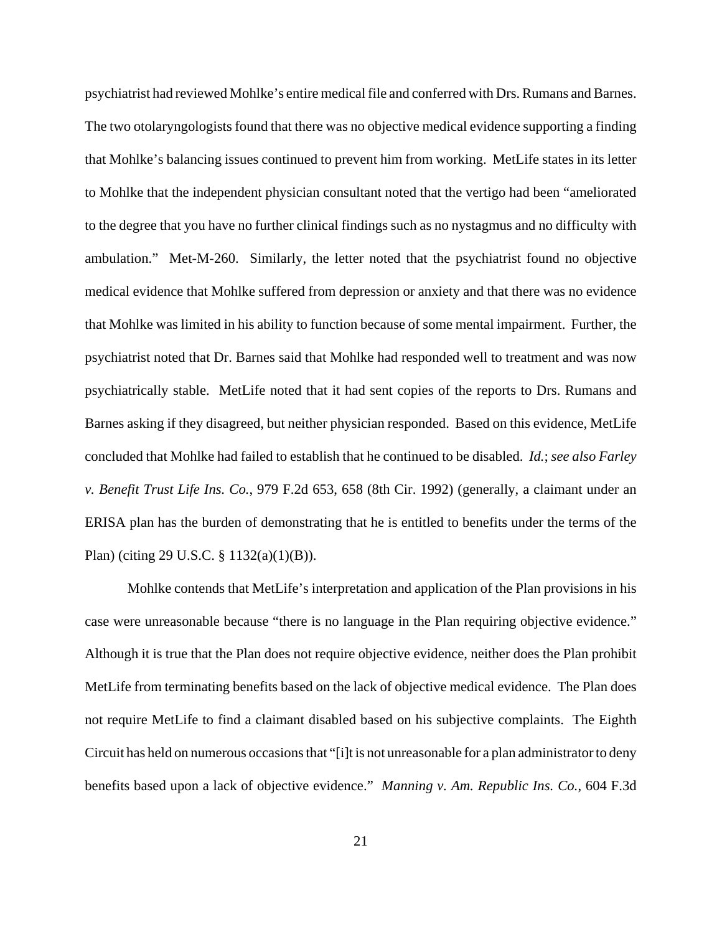psychiatrist had reviewed Mohlke's entire medical file and conferred with Drs. Rumans and Barnes. The two otolaryngologists found that there was no objective medical evidence supporting a finding that Mohlke's balancing issues continued to prevent him from working. MetLife states in its letter to Mohlke that the independent physician consultant noted that the vertigo had been "ameliorated to the degree that you have no further clinical findings such as no nystagmus and no difficulty with ambulation." Met-M-260. Similarly, the letter noted that the psychiatrist found no objective medical evidence that Mohlke suffered from depression or anxiety and that there was no evidence that Mohlke was limited in his ability to function because of some mental impairment. Further, the psychiatrist noted that Dr. Barnes said that Mohlke had responded well to treatment and was now psychiatrically stable. MetLife noted that it had sent copies of the reports to Drs. Rumans and Barnes asking if they disagreed, but neither physician responded. Based on this evidence, MetLife concluded that Mohlke had failed to establish that he continued to be disabled. *Id.*; *see also Farley v. Benefit Trust Life Ins. Co.*, 979 F.2d 653, 658 (8th Cir. 1992) (generally, a claimant under an ERISA plan has the burden of demonstrating that he is entitled to benefits under the terms of the Plan) (citing 29 U.S.C. § 1132(a)(1)(B)).

Mohlke contends that MetLife's interpretation and application of the Plan provisions in his case were unreasonable because "there is no language in the Plan requiring objective evidence." Although it is true that the Plan does not require objective evidence, neither does the Plan prohibit MetLife from terminating benefits based on the lack of objective medical evidence. The Plan does not require MetLife to find a claimant disabled based on his subjective complaints. The Eighth Circuit has held on numerous occasions that "[i]t is not unreasonable for a plan administrator to deny benefits based upon a lack of objective evidence." *Manning v. Am. Republic Ins. Co.*, 604 F.3d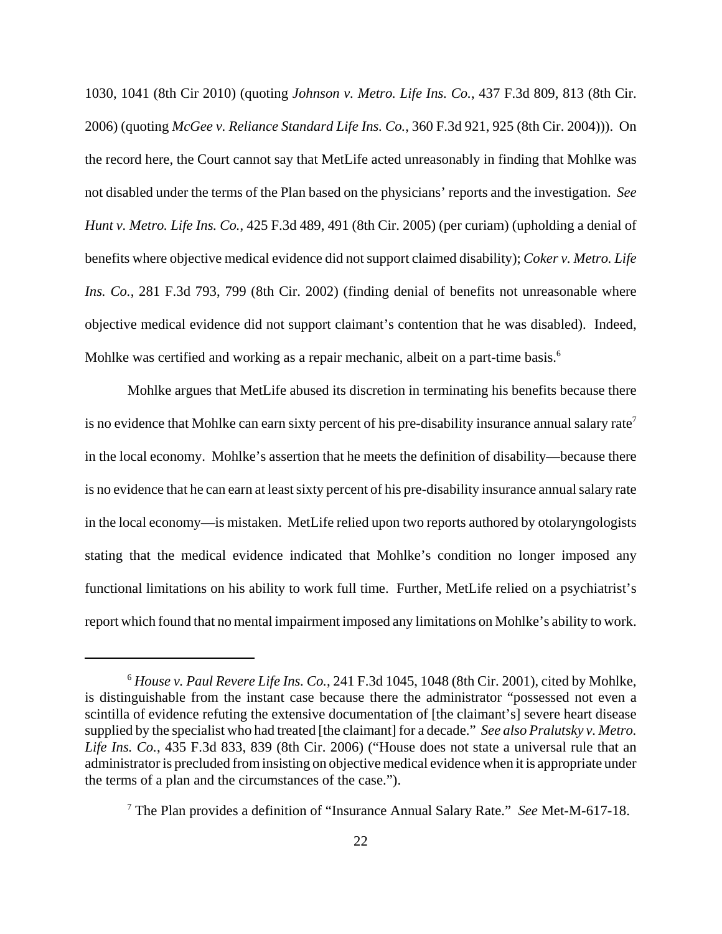1030, 1041 (8th Cir 2010) (quoting *Johnson v. Metro. Life Ins. Co.*, 437 F.3d 809, 813 (8th Cir. 2006) (quoting *McGee v. Reliance Standard Life Ins. Co.*, 360 F.3d 921, 925 (8th Cir. 2004))). On the record here, the Court cannot say that MetLife acted unreasonably in finding that Mohlke was not disabled under the terms of the Plan based on the physicians' reports and the investigation. *See Hunt v. Metro. Life Ins. Co.*, 425 F.3d 489, 491 (8th Cir. 2005) (per curiam) (upholding a denial of benefits where objective medical evidence did not support claimed disability); *Coker v. Metro. Life Ins. Co.*, 281 F.3d 793, 799 (8th Cir. 2002) (finding denial of benefits not unreasonable where objective medical evidence did not support claimant's contention that he was disabled). Indeed, Mohlke was certified and working as a repair mechanic, albeit on a part-time basis.<sup>6</sup>

Mohlke argues that MetLife abused its discretion in terminating his benefits because there is no evidence that Mohlke can earn sixty percent of his pre-disability insurance annual salary rate<sup>7</sup> in the local economy. Mohlke's assertion that he meets the definition of disability—because there is no evidence that he can earn at least sixty percent of his pre-disability insurance annual salary rate in the local economy—is mistaken. MetLife relied upon two reports authored by otolaryngologists stating that the medical evidence indicated that Mohlke's condition no longer imposed any functional limitations on his ability to work full time. Further, MetLife relied on a psychiatrist's report which found that no mental impairment imposed any limitations on Mohlke's ability to work.

<sup>6</sup> *House v. Paul Revere Life Ins. Co.*, 241 F.3d 1045, 1048 (8th Cir. 2001), cited by Mohlke, is distinguishable from the instant case because there the administrator "possessed not even a scintilla of evidence refuting the extensive documentation of [the claimant's] severe heart disease supplied by the specialist who had treated [the claimant] for a decade." *See also Pralutsky v. Metro. Life Ins. Co.*, 435 F.3d 833, 839 (8th Cir. 2006) ("House does not state a universal rule that an administrator is precluded from insisting on objective medical evidence when it is appropriate under the terms of a plan and the circumstances of the case.").

<sup>7</sup> The Plan provides a definition of "Insurance Annual Salary Rate." *See* Met-M-617-18.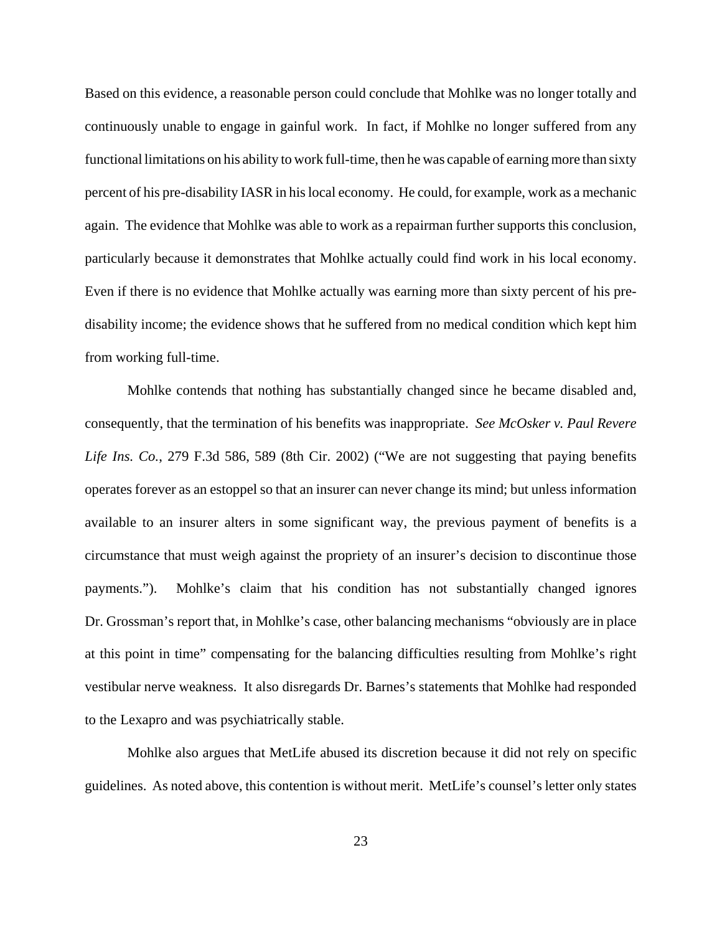Based on this evidence, a reasonable person could conclude that Mohlke was no longer totally and continuously unable to engage in gainful work. In fact, if Mohlke no longer suffered from any functional limitations on his ability to work full-time, then he was capable of earning more than sixty percent of his pre-disability IASR in his local economy. He could, for example, work as a mechanic again. The evidence that Mohlke was able to work as a repairman further supports this conclusion, particularly because it demonstrates that Mohlke actually could find work in his local economy. Even if there is no evidence that Mohlke actually was earning more than sixty percent of his predisability income; the evidence shows that he suffered from no medical condition which kept him from working full-time.

Mohlke contends that nothing has substantially changed since he became disabled and, consequently, that the termination of his benefits was inappropriate. *See McOsker v. Paul Revere Life Ins. Co.*, 279 F.3d 586, 589 (8th Cir. 2002) ("We are not suggesting that paying benefits operates forever as an estoppel so that an insurer can never change its mind; but unless information available to an insurer alters in some significant way, the previous payment of benefits is a circumstance that must weigh against the propriety of an insurer's decision to discontinue those payments."). Mohlke's claim that his condition has not substantially changed ignores Dr. Grossman's report that, in Mohlke's case, other balancing mechanisms "obviously are in place at this point in time" compensating for the balancing difficulties resulting from Mohlke's right vestibular nerve weakness. It also disregards Dr. Barnes's statements that Mohlke had responded to the Lexapro and was psychiatrically stable.

Mohlke also argues that MetLife abused its discretion because it did not rely on specific guidelines. As noted above, this contention is without merit. MetLife's counsel's letter only states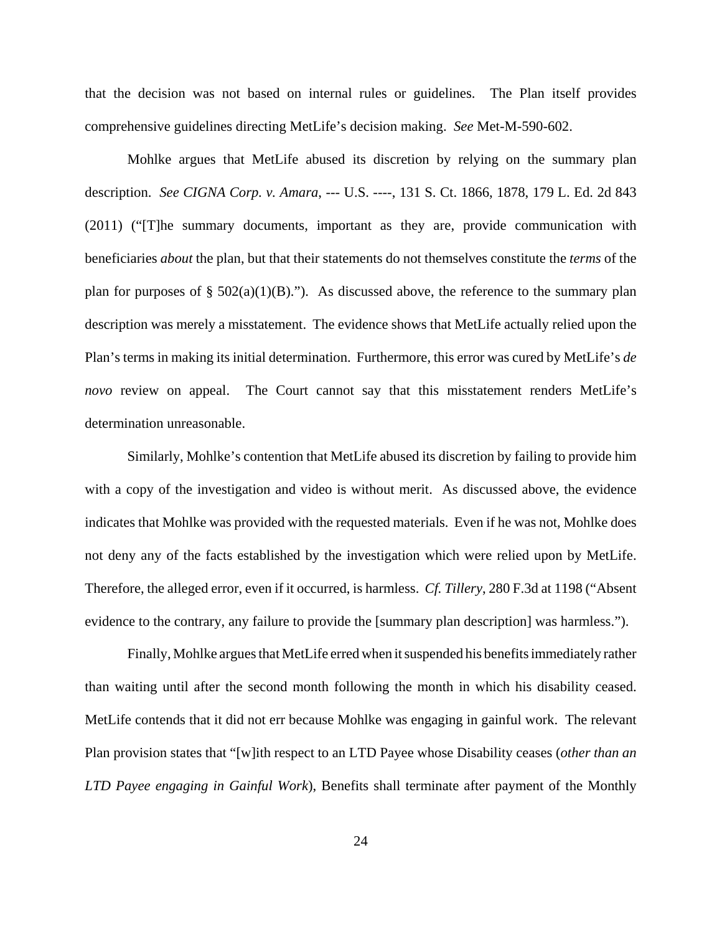that the decision was not based on internal rules or guidelines. The Plan itself provides comprehensive guidelines directing MetLife's decision making. *See* Met-M-590-602.

Mohlke argues that MetLife abused its discretion by relying on the summary plan description. *See CIGNA Corp. v. Amara*, --- U.S. ----, 131 S. Ct. 1866, 1878, 179 L. Ed. 2d 843 (2011) ("[T]he summary documents, important as they are, provide communication with beneficiaries *about* the plan, but that their statements do not themselves constitute the *terms* of the plan for purposes of  $\S$  502(a)(1)(B)."). As discussed above, the reference to the summary plan description was merely a misstatement. The evidence shows that MetLife actually relied upon the Plan's terms in making its initial determination. Furthermore, this error was cured by MetLife's *de novo* review on appeal. The Court cannot say that this misstatement renders MetLife's determination unreasonable.

Similarly, Mohlke's contention that MetLife abused its discretion by failing to provide him with a copy of the investigation and video is without merit. As discussed above, the evidence indicates that Mohlke was provided with the requested materials. Even if he was not, Mohlke does not deny any of the facts established by the investigation which were relied upon by MetLife. Therefore, the alleged error, even if it occurred, is harmless. *Cf. Tillery*, 280 F.3d at 1198 ("Absent evidence to the contrary, any failure to provide the [summary plan description] was harmless.").

Finally, Mohlke argues that MetLife erred when it suspended his benefits immediately rather than waiting until after the second month following the month in which his disability ceased. MetLife contends that it did not err because Mohlke was engaging in gainful work. The relevant Plan provision states that "[w]ith respect to an LTD Payee whose Disability ceases (*other than an LTD Payee engaging in Gainful Work*), Benefits shall terminate after payment of the Monthly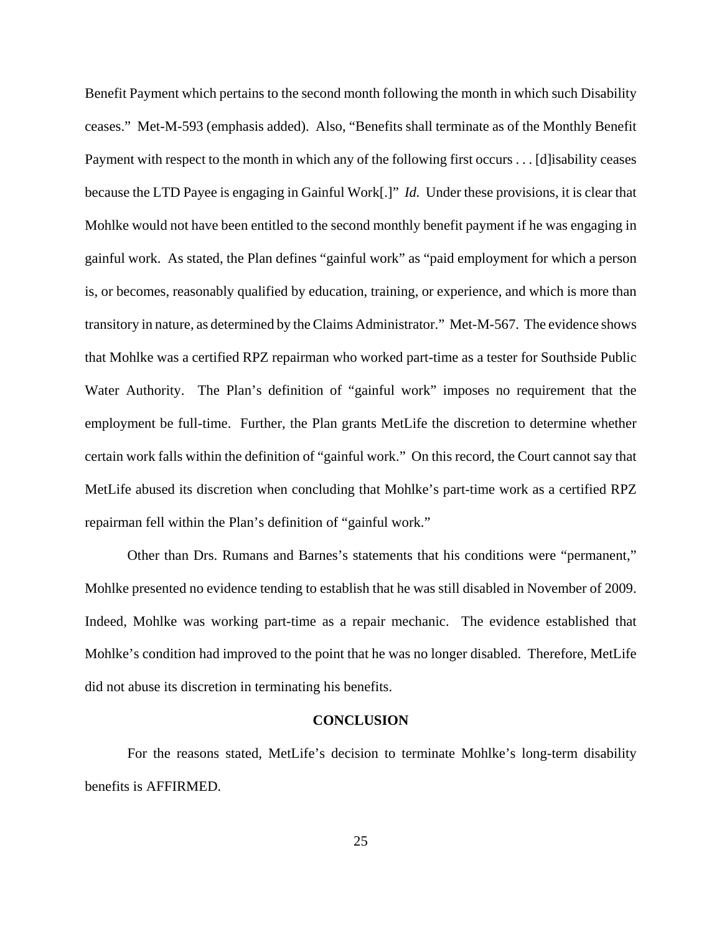Benefit Payment which pertains to the second month following the month in which such Disability ceases." Met-M-593 (emphasis added). Also, "Benefits shall terminate as of the Monthly Benefit Payment with respect to the month in which any of the following first occurs . . . [d]isability ceases because the LTD Payee is engaging in Gainful Work[.]" *Id.* Under these provisions, it is clear that Mohlke would not have been entitled to the second monthly benefit payment if he was engaging in gainful work. As stated, the Plan defines "gainful work" as "paid employment for which a person is, or becomes, reasonably qualified by education, training, or experience, and which is more than transitory in nature, as determined by the Claims Administrator." Met-M-567. The evidence shows that Mohlke was a certified RPZ repairman who worked part-time as a tester for Southside Public Water Authority. The Plan's definition of "gainful work" imposes no requirement that the employment be full-time. Further, the Plan grants MetLife the discretion to determine whether certain work falls within the definition of "gainful work." On this record, the Court cannot say that MetLife abused its discretion when concluding that Mohlke's part-time work as a certified RPZ repairman fell within the Plan's definition of "gainful work."

Other than Drs. Rumans and Barnes's statements that his conditions were "permanent," Mohlke presented no evidence tending to establish that he was still disabled in November of 2009. Indeed, Mohlke was working part-time as a repair mechanic. The evidence established that Mohlke's condition had improved to the point that he was no longer disabled. Therefore, MetLife did not abuse its discretion in terminating his benefits.

#### **CONCLUSION**

For the reasons stated, MetLife's decision to terminate Mohlke's long-term disability benefits is AFFIRMED.